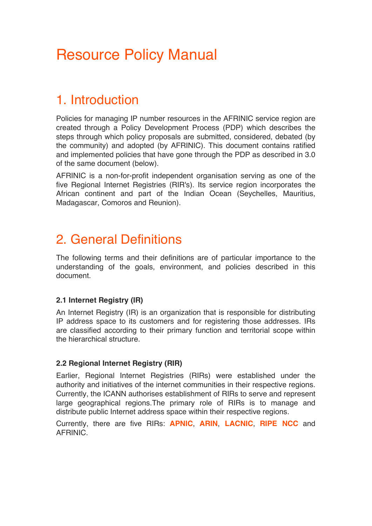# Resource Policy Manual

# 1. Introduction

Policies for managing IP number resources in the AFRINIC service region are created through a Policy Development Process (PDP) which describes the steps through which policy proposals are submitted, considered, debated (by the community) and adopted (by AFRINIC). This document contains ratified and implemented policies that have gone through the PDP as described in 3.0 of the same document (below).

AFRINIC is a non-for-profit independent organisation serving as one of the five Regional Internet Registries (RIR's). Its service region incorporates the African continent and part of the Indian Ocean (Seychelles, Mauritius, Madagascar, Comoros and Reunion).

# 2. General Definitions

The following terms and their definitions are of particular importance to the understanding of the goals, environment, and policies described in this document.

# **2.1 Internet Registry (IR)**

An Internet Registry (IR) is an organization that is responsible for distributing IP address space to its customers and for registering those addresses. IRs are classified according to their primary function and territorial scope within the hierarchical structure.

# **2.2 Regional Internet Registry (RIR)**

Earlier, Regional Internet Registries (RIRs) were established under the authority and initiatives of the internet communities in their respective regions. Currently, the ICANN authorises establishment of RIRs to serve and represent large geographical regions.The primary role of RIRs is to manage and distribute public Internet address space within their respective regions.

Currently, there are five RIRs: **APNIC**, **ARIN**, **LACNIC**, **RIPE NCC** and AFRINIC.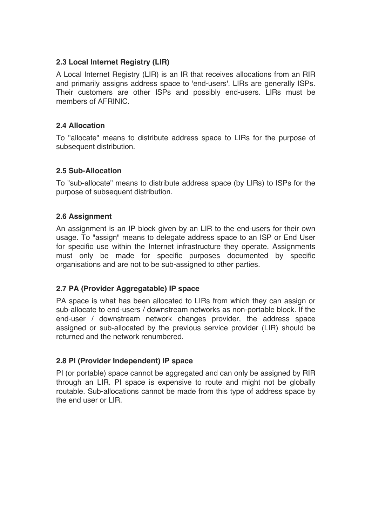# **2.3 Local Internet Registry (LIR)**

A Local Internet Registry (LIR) is an IR that receives allocations from an RIR and primarily assigns address space to 'end-users'. LIRs are generally ISPs. Their customers are other ISPs and possibly end-users. LIRs must be members of AFRINIC.

#### **2.4 Allocation**

To "allocate" means to distribute address space to LIRs for the purpose of subsequent distribution.

#### **2.5 Sub-Allocation**

To "sub-allocate" means to distribute address space (by LIRs) to ISPs for the purpose of subsequent distribution.

#### **2.6 Assignment**

An assignment is an IP block given by an LIR to the end-users for their own usage. To "assign" means to delegate address space to an ISP or End User for specific use within the Internet infrastructure they operate. Assignments must only be made for specific purposes documented by specific organisations and are not to be sub-assigned to other parties.

# **2.7 PA (Provider Aggregatable) IP space**

PA space is what has been allocated to LIRs from which they can assign or sub-allocate to end-users / downstream networks as non-portable block. If the end-user / downstream network changes provider, the address space assigned or sub-allocated by the previous service provider (LIR) should be returned and the network renumbered.

# **2.8 PI (Provider Independent) IP space**

PI (or portable) space cannot be aggregated and can only be assigned by RIR through an LIR. PI space is expensive to route and might not be globally routable. Sub-allocations cannot be made from this type of address space by the end user or LIR.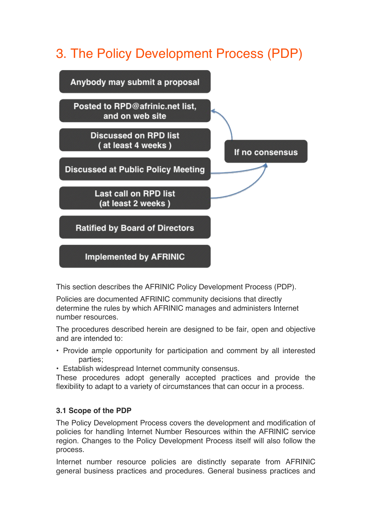# 3. The Policy Development Process (PDP)



This section describes the AFRINIC Policy Development Process (PDP).

Policies are documented AFRINIC community decisions that directly determine the rules by which AFRINIC manages and administers Internet number resources.

The procedures described herein are designed to be fair, open and objective and are intended to:

- Provide ample opportunity for participation and comment by all interested parties;
- Establish widespread Internet community consensus.

These procedures adopt generally accepted practices and provide the flexibility to adapt to a variety of circumstances that can occur in a process.

# **3.1 Scope of the PDP**

The Policy Development Process covers the development and modification of policies for handling Internet Number Resources within the AFRINIC service region. Changes to the Policy Development Process itself will also follow the process.

Internet number resource policies are distinctly separate from AFRINIC general business practices and procedures. General business practices and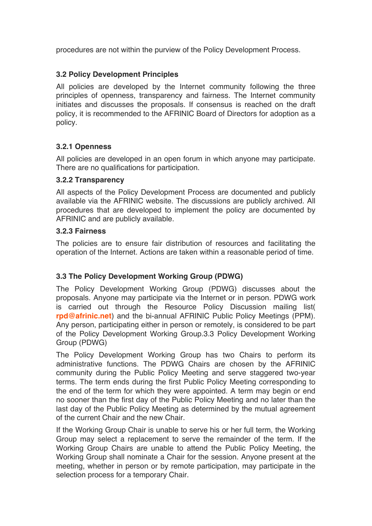procedures are not within the purview of the Policy Development Process.

# **3.2 Policy Development Principles**

All policies are developed by the Internet community following the three principles of openness, transparency and fairness. The Internet community initiates and discusses the proposals. If consensus is reached on the draft policy, it is recommended to the AFRINIC Board of Directors for adoption as a policy.

# **3.2.1 Openness**

All policies are developed in an open forum in which anyone may participate. There are no qualifications for participation.

#### **3.2.2 Transparency**

All aspects of the Policy Development Process are documented and publicly available via the AFRINIC website. The discussions are publicly archived. All procedures that are developed to implement the policy are documented by AFRINIC and are publicly available.

# **3.2.3 Fairness**

The policies are to ensure fair distribution of resources and facilitating the operation of the Internet. Actions are taken within a reasonable period of time.

# **3.3 The Policy Development Working Group (PDWG)**

The Policy Development Working Group (PDWG) discusses about the proposals. Anyone may participate via the Internet or in person. PDWG work is carried out through the Resource Policy Discussion mailing list( **rpd@afrinic.net**) and the bi-annual AFRINIC Public Policy Meetings (PPM). Any person, participating either in person or remotely, is considered to be part of the Policy Development Working Group.3.3 Policy Development Working Group (PDWG)

The Policy Development Working Group has two Chairs to perform its administrative functions. The PDWG Chairs are chosen by the AFRINIC community during the Public Policy Meeting and serve staggered two-year terms. The term ends during the first Public Policy Meeting corresponding to the end of the term for which they were appointed. A term may begin or end no sooner than the first day of the Public Policy Meeting and no later than the last day of the Public Policy Meeting as determined by the mutual agreement of the current Chair and the new Chair.

If the Working Group Chair is unable to serve his or her full term, the Working Group may select a replacement to serve the remainder of the term. If the Working Group Chairs are unable to attend the Public Policy Meeting, the Working Group shall nominate a Chair for the session. Anyone present at the meeting, whether in person or by remote participation, may participate in the selection process for a temporary Chair.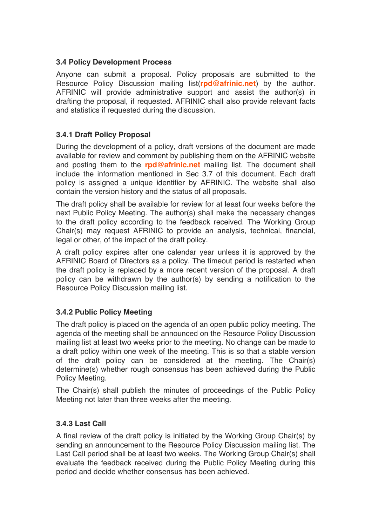# **3.4 Policy Development Process**

Anyone can submit a proposal. Policy proposals are submitted to the Resource Policy Discussion mailing list(**rpd@afrinic.net**) by the author. AFRINIC will provide administrative support and assist the author(s) in drafting the proposal, if requested. AFRINIC shall also provide relevant facts and statistics if requested during the discussion.

# **3.4.1 Draft Policy Proposal**

During the development of a policy, draft versions of the document are made available for review and comment by publishing them on the AFRINIC website and posting them to the **rpd@afrinic.net** mailing list. The document shall include the information mentioned in Sec 3.7 of this document. Each draft policy is assigned a unique identifier by AFRINIC. The website shall also contain the version history and the status of all proposals.

The draft policy shall be available for review for at least four weeks before the next Public Policy Meeting. The author(s) shall make the necessary changes to the draft policy according to the feedback received. The Working Group Chair(s) may request AFRINIC to provide an analysis, technical, financial, legal or other, of the impact of the draft policy.

A draft policy expires after one calendar year unless it is approved by the AFRINIC Board of Directors as a policy. The timeout period is restarted when the draft policy is replaced by a more recent version of the proposal. A draft policy can be withdrawn by the author(s) by sending a notification to the Resource Policy Discussion mailing list.

# **3.4.2 Public Policy Meeting**

The draft policy is placed on the agenda of an open public policy meeting. The agenda of the meeting shall be announced on the Resource Policy Discussion mailing list at least two weeks prior to the meeting. No change can be made to a draft policy within one week of the meeting. This is so that a stable version of the draft policy can be considered at the meeting. The Chair(s) determine(s) whether rough consensus has been achieved during the Public Policy Meeting.

The Chair(s) shall publish the minutes of proceedings of the Public Policy Meeting not later than three weeks after the meeting.

# **3.4.3 Last Call**

A final review of the draft policy is initiated by the Working Group Chair(s) by sending an announcement to the Resource Policy Discussion mailing list. The Last Call period shall be at least two weeks. The Working Group Chair(s) shall evaluate the feedback received during the Public Policy Meeting during this period and decide whether consensus has been achieved.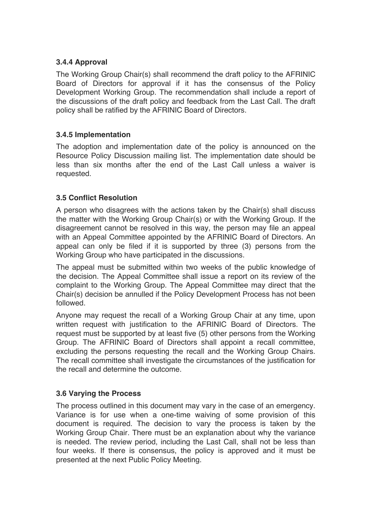# **3.4.4 Approval**

The Working Group Chair(s) shall recommend the draft policy to the AFRINIC Board of Directors for approval if it has the consensus of the Policy Development Working Group. The recommendation shall include a report of the discussions of the draft policy and feedback from the Last Call. The draft policy shall be ratified by the AFRINIC Board of Directors.

#### **3.4.5 Implementation**

The adoption and implementation date of the policy is announced on the Resource Policy Discussion mailing list. The implementation date should be less than six months after the end of the Last Call unless a waiver is requested.

#### **3.5 Conflict Resolution**

A person who disagrees with the actions taken by the Chair(s) shall discuss the matter with the Working Group Chair(s) or with the Working Group. If the disagreement cannot be resolved in this way, the person may file an appeal with an Appeal Committee appointed by the AFRINIC Board of Directors. An appeal can only be filed if it is supported by three (3) persons from the Working Group who have participated in the discussions.

The appeal must be submitted within two weeks of the public knowledge of the decision. The Appeal Committee shall issue a report on its review of the complaint to the Working Group. The Appeal Committee may direct that the Chair(s) decision be annulled if the Policy Development Process has not been followed.

Anyone may request the recall of a Working Group Chair at any time, upon written request with justification to the AFRINIC Board of Directors. The request must be supported by at least five (5) other persons from the Working Group. The AFRINIC Board of Directors shall appoint a recall committee, excluding the persons requesting the recall and the Working Group Chairs. The recall committee shall investigate the circumstances of the justification for the recall and determine the outcome.

#### **3.6 Varying the Process**

The process outlined in this document may vary in the case of an emergency. Variance is for use when a one-time waiving of some provision of this document is required. The decision to vary the process is taken by the Working Group Chair. There must be an explanation about why the variance is needed. The review period, including the Last Call, shall not be less than four weeks. If there is consensus, the policy is approved and it must be presented at the next Public Policy Meeting.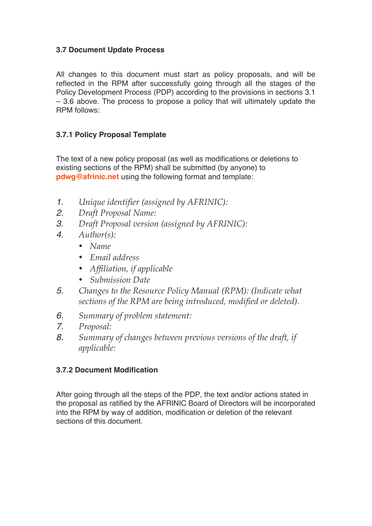# **3.7 Document Update Process**

All changes to this document must start as policy proposals, and will be reflected in the RPM after successfully going through all the stages of the Policy Development Process (PDP) according to the provisions in sections 3.1 – 3.6 above. The process to propose a policy that will ultimately update the RPM follows:

# **3.7.1 Policy Proposal Template**

The text of a new policy proposal (as well as modifications or deletions to existing sections of the RPM) shall be submitted (by anyone) to **pdwg@afrinic.net** using the following format and template:

- *1. Unique identifier (assigned by AFRINIC):*
- *2. Draft Proposal Name:*
- *3. Draft Proposal version (assigned by AFRINIC):*
- *4. Author(s):* 
	- *Name*
	- *Email address*
	- *Affiliation, if applicable*
	- *Submission Date*
- *5. Changes to the Resource Policy Manual (RPM): (Indicate what sections of the RPM are being introduced, modified or deleted).*
- *6. Summary of problem statement:*
- *7. Proposal:*
- *8. Summary of changes between previous versions of the draft, if applicable:*

# **3.7.2 Document Modification**

After going through all the steps of the PDP, the text and/or actions stated in the proposal as ratified by the AFRINIC Board of Directors will be incorporated into the RPM by way of addition, modification or deletion of the relevant sections of this document.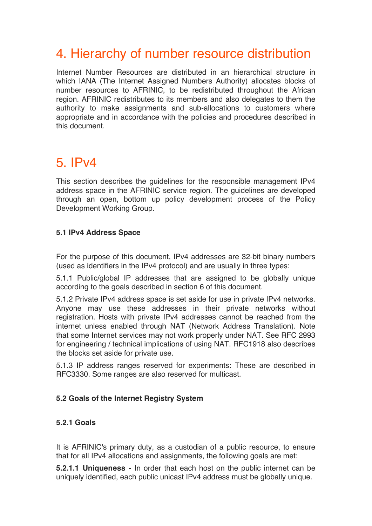# 4. Hierarchy of number resource distribution

Internet Number Resources are distributed in an hierarchical structure in which IANA (The Internet Assigned Numbers Authority) allocates blocks of number resources to AFRINIC, to be redistributed throughout the African region. AFRINIC redistributes to its members and also delegates to them the authority to make assignments and sub-allocations to customers where appropriate and in accordance with the policies and procedures described in this document.

# 5. IPv4

This section describes the guidelines for the responsible management IPv4 address space in the AFRINIC service region. The guidelines are developed through an open, bottom up policy development process of the Policy Development Working Group.

# **5.1 IPv4 Address Space**

For the purpose of this document, IPv4 addresses are 32-bit binary numbers (used as identifiers in the IPv4 protocol) and are usually in three types:

5.1.1 Public/global IP addresses that are assigned to be globally unique according to the goals described in section 6 of this document.

5.1.2 Private IPv4 address space is set aside for use in private IPv4 networks. Anyone may use these addresses in their private networks without registration. Hosts with private IPv4 addresses cannot be reached from the internet unless enabled through NAT (Network Address Translation). Note that some Internet services may not work properly under NAT. See RFC 2993 for engineering / technical implications of using NAT. RFC1918 also describes the blocks set aside for private use.

5.1.3 IP address ranges reserved for experiments: These are described in RFC3330. Some ranges are also reserved for multicast.

# **5.2 Goals of the Internet Registry System**

# **5.2.1 Goals**

It is AFRINIC's primary duty, as a custodian of a public resource, to ensure that for all IPv4 allocations and assignments, the following goals are met:

**5.2.1.1 Uniqueness -** In order that each host on the public internet can be uniquely identified, each public unicast IPv4 address must be globally unique.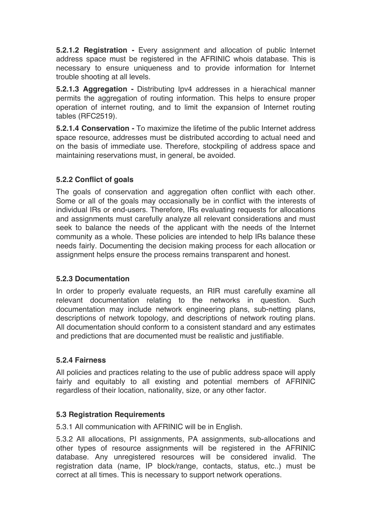**5.2.1.2 Registration -** Every assignment and allocation of public Internet address space must be registered in the AFRINIC whois database. This is necessary to ensure uniqueness and to provide information for Internet trouble shooting at all levels.

**5.2.1.3 Aggregation -** Distributing Ipv4 addresses in a hierachical manner permits the aggregation of routing information. This helps to ensure proper operation of internet routing, and to limit the expansion of Internet routing tables (RFC2519).

**5.2.1.4 Conservation -** To maximize the lifetime of the public Internet address space resource, addresses must be distributed according to actual need and on the basis of immediate use. Therefore, stockpiling of address space and maintaining reservations must, in general, be avoided.

#### **5.2.2 Conflict of goals**

The goals of conservation and aggregation often conflict with each other. Some or all of the goals may occasionally be in conflict with the interests of individual IRs or end-users. Therefore, IRs evaluating requests for allocations and assignments must carefully analyze all relevant considerations and must seek to balance the needs of the applicant with the needs of the Internet community as a whole. These policies are intended to help IRs balance these needs fairly. Documenting the decision making process for each allocation or assignment helps ensure the process remains transparent and honest.

#### **5.2.3 Documentation**

In order to properly evaluate requests, an RIR must carefully examine all relevant documentation relating to the networks in question. Such documentation may include network engineering plans, sub-netting plans, descriptions of network topology, and descriptions of network routing plans. All documentation should conform to a consistent standard and any estimates and predictions that are documented must be realistic and justifiable.

#### **5.2.4 Fairness**

All policies and practices relating to the use of public address space will apply fairly and equitably to all existing and potential members of AFRINIC regardless of their location, nationality, size, or any other factor.

#### **5.3 Registration Requirements**

5.3.1 All communication with AFRINIC will be in English.

5.3.2 All allocations, PI assignments, PA assignments, sub-allocations and other types of resource assignments will be registered in the AFRINIC database. Any unregistered resources will be considered invalid. The registration data (name, IP block/range, contacts, status, etc..) must be correct at all times. This is necessary to support network operations.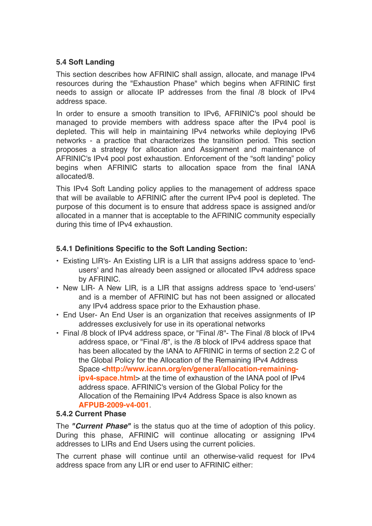# **5.4 Soft Landing**

This section describes how AFRINIC shall assign, allocate, and manage IPv4 resources during the "Exhaustion Phase" which begins when AFRINIC first needs to assign or allocate IP addresses from the final /8 block of IPv4 address space.

In order to ensure a smooth transition to IPv6, AFRINIC's pool should be managed to provide members with address space after the IPv4 pool is depleted. This will help in maintaining IPv4 networks while deploying IPv6 networks - a practice that characterizes the transition period. This section proposes a strategy for allocation and Assignment and maintenance of AFRINIC's IPv4 pool post exhaustion. Enforcement of the "soft landing" policy begins when AFRINIC starts to allocation space from the final IANA allocated/8.

This IPv4 Soft Landing policy applies to the management of address space that will be available to AFRINIC after the current IPv4 pool is depleted. The purpose of this document is to ensure that address space is assigned and/or allocated in a manner that is acceptable to the AFRINIC community especially during this time of IPv4 exhaustion.

# **5.4.1 Definitions Specific to the Soft Landing Section:**

- Existing LIR's- An Existing LIR is a LIR that assigns address space to 'endusers' and has already been assigned or allocated IPv4 address space by AFRINIC.
- New LIR- A New LIR, is a LIR that assigns address space to 'end-users' and is a member of AFRINIC but has not been assigned or allocated any IPv4 address space prior to the Exhaustion phase.
- End User- An End User is an organization that receives assignments of IP addresses exclusively for use in its operational networks
- Final /8 block of IPv4 address space, or "Final /8"- The Final /8 block of IPv4 address space, or "Final /8", is the /8 block of IPv4 address space that has been allocated by the IANA to AFRINIC in terms of section 2.2 C of the Global Policy for the Allocation of the Remaining IPv4 Address Space <**http://www.icann.org/en/general/allocation-remainingipv4-space.html**> at the time of exhaustion of the IANA pool of IPv4 address space. AFRINIC's version of the Global Policy for the Allocation of the Remaining IPv4 Address Space is also known as **AFPUB-2009-v4-001**.

#### **5.4.2 Current Phase**

The *"Current Phase"* is the status quo at the time of adoption of this policy. During this phase, AFRINIC will continue allocating or assigning IPv4 addresses to LIRs and End Users using the current policies.

The current phase will continue until an otherwise-valid request for IPv4 address space from any LIR or end user to AFRINIC either: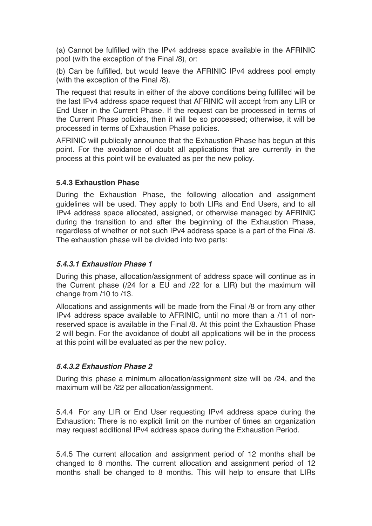(a) Cannot be fulfilled with the IPv4 address space available in the AFRINIC pool (with the exception of the Final /8), or:

(b) Can be fulfilled, but would leave the AFRINIC IPv4 address pool empty (with the exception of the Final /8).

The request that results in either of the above conditions being fulfilled will be the last IPv4 address space request that AFRINIC will accept from any LIR or End User in the Current Phase. If the request can be processed in terms of the Current Phase policies, then it will be so processed; otherwise, it will be processed in terms of Exhaustion Phase policies.

AFRINIC will publically announce that the Exhaustion Phase has begun at this point. For the avoidance of doubt all applications that are currently in the process at this point will be evaluated as per the new policy.

#### **5.4.3 Exhaustion Phase**

During the Exhaustion Phase, the following allocation and assignment guidelines will be used. They apply to both LIRs and End Users, and to all IPv4 address space allocated, assigned, or otherwise managed by AFRINIC during the transition to and after the beginning of the Exhaustion Phase, regardless of whether or not such IPv4 address space is a part of the Final /8. The exhaustion phase will be divided into two parts:

#### *5.4.3.1 Exhaustion Phase 1*

During this phase, allocation/assignment of address space will continue as in the Current phase (/24 for a EU and /22 for a LIR) but the maximum will change from /10 to /13.

Allocations and assignments will be made from the Final /8 or from any other IPv4 address space available to AFRINIC, until no more than a /11 of nonreserved space is available in the Final /8. At this point the Exhaustion Phase 2 will begin. For the avoidance of doubt all applications will be in the process at this point will be evaluated as per the new policy.

# *5.4.3.2 Exhaustion Phase 2*

During this phase a minimum allocation/assignment size will be /24, and the maximum will be /22 per allocation/assignment.

5.4.4 For any LIR or End User requesting IPv4 address space during the Exhaustion: There is no explicit limit on the number of times an organization may request additional IPv4 address space during the Exhaustion Period.

5.4.5 The current allocation and assignment period of 12 months shall be changed to 8 months. The current allocation and assignment period of 12 months shall be changed to 8 months. This will help to ensure that LIRs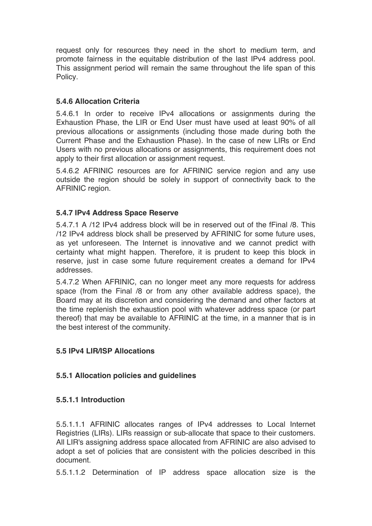request only for resources they need in the short to medium term, and promote fairness in the equitable distribution of the last IPv4 address pool. This assignment period will remain the same throughout the life span of this Policy.

#### **5.4.6 Allocation Criteria**

5.4.6.1 In order to receive IPv4 allocations or assignments during the Exhaustion Phase, the LIR or End User must have used at least 90% of all previous allocations or assignments (including those made during both the Current Phase and the Exhaustion Phase). In the case of new LIRs or End Users with no previous allocations or assignments, this requirement does not apply to their first allocation or assignment request.

5.4.6.2 AFRINIC resources are for AFRINIC service region and any use outside the region should be solely in support of connectivity back to the AFRINIC region.

#### **5.4.7 IPv4 Address Space Reserve**

5.4.7.1 A /12 IPv4 address block will be in reserved out of the fFinal /8. This /12 IPv4 address block shall be preserved by AFRINIC for some future uses, as yet unforeseen. The Internet is innovative and we cannot predict with certainty what might happen. Therefore, it is prudent to keep this block in reserve, just in case some future requirement creates a demand for IPv4 addresses.

5.4.7.2 When AFRINIC, can no longer meet any more requests for address space (from the Final /8 or from any other available address space), the Board may at its discretion and considering the demand and other factors at the time replenish the exhaustion pool with whatever address space (or part thereof) that may be available to AFRINIC at the time, in a manner that is in the best interest of the community.

#### **5.5 IPv4 LIR/ISP Allocations**

# **5.5.1 Allocation policies and guidelines**

#### **5.5.1.1 Introduction**

5.5.1.1.1 AFRINIC allocates ranges of IPv4 addresses to Local Internet Registries (LIRs). LIRs reassign or sub-allocate that space to their customers. All LIR's assigning address space allocated from AFRINIC are also advised to adopt a set of policies that are consistent with the policies described in this document.

5.5.1.1.2 Determination of IP address space allocation size is the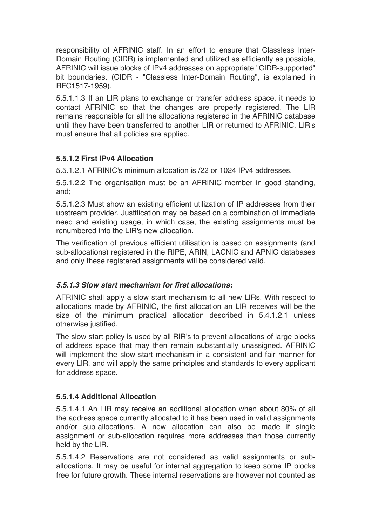responsibility of AFRINIC staff. In an effort to ensure that Classless Inter-Domain Routing (CIDR) is implemented and utilized as efficiently as possible, AFRINIC will issue blocks of IPv4 addresses on appropriate "CIDR-supported" bit boundaries. (CIDR - "Classless Inter-Domain Routing", is explained in RFC1517-1959).

5.5.1.1.3 If an LIR plans to exchange or transfer address space, it needs to contact AFRINIC so that the changes are properly registered. The LIR remains responsible for all the allocations registered in the AFRINIC database until they have been transferred to another LIR or returned to AFRINIC. LIR's must ensure that all policies are applied.

# **5.5.1.2 First IPv4 Allocation**

5.5.1.2.1 AFRINIC's minimum allocation is /22 or 1024 IPv4 addresses.

5.5.1.2.2 The organisation must be an AFRINIC member in good standing, and;

5.5.1.2.3 Must show an existing efficient utilization of IP addresses from their upstream provider. Justification may be based on a combination of immediate need and existing usage, in which case, the existing assignments must be renumbered into the LIR's new allocation.

The verification of previous efficient utilisation is based on assignments (and sub-allocations) registered in the RIPE, ARIN, LACNIC and APNIC databases and only these registered assignments will be considered valid.

# *5.5.1.3 Slow start mechanism for first allocations:*

AFRINIC shall apply a slow start mechanism to all new LIRs. With respect to allocations made by AFRINIC, the first allocation an LIR receives will be the size of the minimum practical allocation described in 5.4.1.2.1 unless otherwise justified.

The slow start policy is used by all RIR's to prevent allocations of large blocks of address space that may then remain substantially unassigned. AFRINIC will implement the slow start mechanism in a consistent and fair manner for every LIR, and will apply the same principles and standards to every applicant for address space.

# **5.5.1.4 Additional Allocation**

5.5.1.4.1 An LIR may receive an additional allocation when about 80% of all the address space currently allocated to it has been used in valid assignments and/or sub-allocations. A new allocation can also be made if single assignment or sub-allocation requires more addresses than those currently held by the LIR.

5.5.1.4.2 Reservations are not considered as valid assignments or suballocations. It may be useful for internal aggregation to keep some IP blocks free for future growth. These internal reservations are however not counted as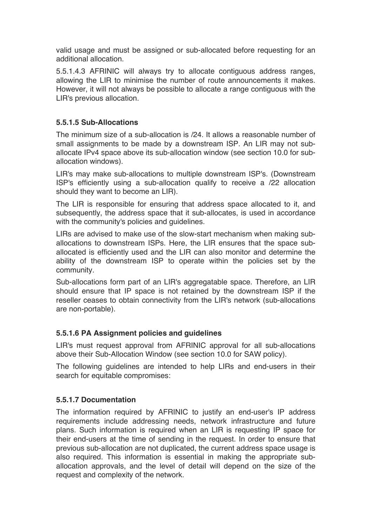valid usage and must be assigned or sub-allocated before requesting for an additional allocation.

5.5.1.4.3 AFRINIC will always try to allocate contiguous address ranges, allowing the LIR to minimise the number of route announcements it makes. However, it will not always be possible to allocate a range contiguous with the LIR's previous allocation.

#### **5.5.1.5 Sub-Allocations**

The minimum size of a sub-allocation is /24. It allows a reasonable number of small assignments to be made by a downstream ISP. An LIR may not suballocate IPv4 space above its sub-allocation window (see section 10.0 for suballocation windows).

LIR's may make sub-allocations to multiple downstream ISP's. (Downstream ISP's efficiently using a sub-allocation qualify to receive a /22 allocation should they want to become an LIR).

The LIR is responsible for ensuring that address space allocated to it, and subsequently, the address space that it sub-allocates, is used in accordance with the community's policies and guidelines.

LIRs are advised to make use of the slow-start mechanism when making suballocations to downstream ISPs. Here, the LIR ensures that the space suballocated is efficiently used and the LIR can also monitor and determine the ability of the downstream ISP to operate within the policies set by the community.

Sub-allocations form part of an LIR's aggregatable space. Therefore, an LIR should ensure that IP space is not retained by the downstream ISP if the reseller ceases to obtain connectivity from the LIR's network (sub-allocations are non-portable).

#### **5.5.1.6 PA Assignment policies and guidelines**

LIR's must request approval from AFRINIC approval for all sub-allocations above their Sub-Allocation Window (see section 10.0 for SAW policy).

The following guidelines are intended to help LIRs and end-users in their search for equitable compromises:

#### **5.5.1.7 Documentation**

The information required by AFRINIC to justify an end-user's IP address requirements include addressing needs, network infrastructure and future plans. Such information is required when an LIR is requesting IP space for their end-users at the time of sending in the request. In order to ensure that previous sub-allocation are not duplicated, the current address space usage is also required. This information is essential in making the appropriate suballocation approvals, and the level of detail will depend on the size of the request and complexity of the network.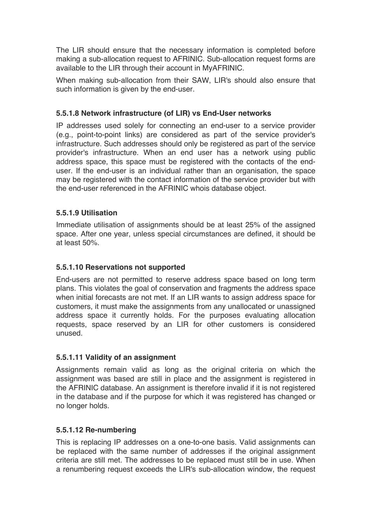The LIR should ensure that the necessary information is completed before making a sub-allocation request to AFRINIC. Sub-allocation request forms are available to the LIR through their account in MyAFRINIC.

When making sub-allocation from their SAW, LIR's should also ensure that such information is given by the end-user.

# **5.5.1.8 Network infrastructure (of LIR) vs End-User networks**

IP addresses used solely for connecting an end-user to a service provider (e.g., point-to-point links) are considered as part of the service provider's infrastructure. Such addresses should only be registered as part of the service provider's infrastructure. When an end user has a network using public address space, this space must be registered with the contacts of the enduser. If the end-user is an individual rather than an organisation, the space may be registered with the contact information of the service provider but with the end-user referenced in the AFRINIC whois database object.

# **5.5.1.9 Utilisation**

Immediate utilisation of assignments should be at least 25% of the assigned space. After one year, unless special circumstances are defined, it should be at least 50%.

# **5.5.1.10 Reservations not supported**

End-users are not permitted to reserve address space based on long term plans. This violates the goal of conservation and fragments the address space when initial forecasts are not met. If an LIR wants to assign address space for customers, it must make the assignments from any unallocated or unassigned address space it currently holds. For the purposes evaluating allocation requests, space reserved by an LIR for other customers is considered unused.

#### **5.5.1.11 Validity of an assignment**

Assignments remain valid as long as the original criteria on which the assignment was based are still in place and the assignment is registered in the AFRINIC database. An assignment is therefore invalid if it is not registered in the database and if the purpose for which it was registered has changed or no longer holds.

#### **5.5.1.12 Re-numbering**

This is replacing IP addresses on a one-to-one basis. Valid assignments can be replaced with the same number of addresses if the original assignment criteria are still met. The addresses to be replaced must still be in use. When a renumbering request exceeds the LIR's sub-allocation window, the request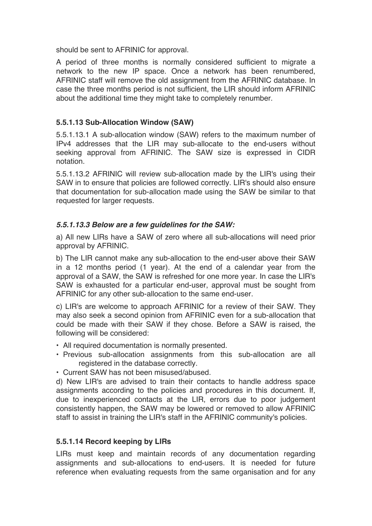should be sent to AFRINIC for approval.

A period of three months is normally considered sufficient to migrate a network to the new IP space. Once a network has been renumbered, AFRINIC staff will remove the old assignment from the AFRINIC database. In case the three months period is not sufficient, the LIR should inform AFRINIC about the additional time they might take to completely renumber.

#### **5.5.1.13 Sub-Allocation Window (SAW)**

5.5.1.13.1 A sub-allocation window (SAW) refers to the maximum number of IPv4 addresses that the LIR may sub-allocate to the end-users without seeking approval from AFRINIC. The SAW size is expressed in CIDR notation.

5.5.1.13.2 AFRINIC will review sub-allocation made by the LIR's using their SAW in to ensure that policies are followed correctly. LIR's should also ensure that documentation for sub-allocation made using the SAW be similar to that requested for larger requests.

#### *5.5.1.13.3 Below are a few guidelines for the SAW:*

a) All new LIRs have a SAW of zero where all sub-allocations will need prior approval by AFRINIC.

b) The LIR cannot make any sub-allocation to the end-user above their SAW in a 12 months period (1 year). At the end of a calendar year from the approval of a SAW, the SAW is refreshed for one more year. In case the LIR's SAW is exhausted for a particular end-user, approval must be sought from AFRINIC for any other sub-allocation to the same end-user.

c) LIR's are welcome to approach AFRINIC for a review of their SAW. They may also seek a second opinion from AFRINIC even for a sub-allocation that could be made with their SAW if they chose. Before a SAW is raised, the following will be considered:

- All required documentation is normally presented.
- Previous sub-allocation assignments from this sub-allocation are all registered in the database correctly.
- Current SAW has not been misused/abused.

d) New LIR's are advised to train their contacts to handle address space assignments according to the policies and procedures in this document. If, due to inexperienced contacts at the LIR, errors due to poor judgement consistently happen, the SAW may be lowered or removed to allow AFRINIC staff to assist in training the LIR's staff in the AFRINIC community's policies.

#### **5.5.1.14 Record keeping by LIRs**

LIRs must keep and maintain records of any documentation regarding assignments and sub-allocations to end-users. It is needed for future reference when evaluating requests from the same organisation and for any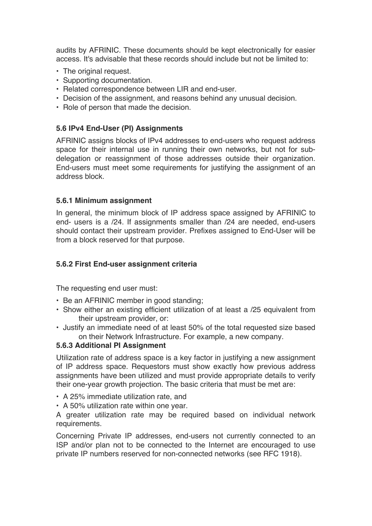audits by AFRINIC. These documents should be kept electronically for easier access. It's advisable that these records should include but not be limited to:

- The original request.
- Supporting documentation.
- Related correspondence between LIR and end-user.
- Decision of the assignment, and reasons behind any unusual decision.
- Role of person that made the decision.

#### **5.6 IPv4 End-User (PI) Assignments**

AFRINIC assigns blocks of IPv4 addresses to end-users who request address space for their internal use in running their own networks, but not for subdelegation or reassignment of those addresses outside their organization. End-users must meet some requirements for justifying the assignment of an address block.

#### **5.6.1 Minimum assignment**

In general, the minimum block of IP address space assigned by AFRINIC to end- users is a /24. If assignments smaller than /24 are needed, end-users should contact their upstream provider. Prefixes assigned to End-User will be from a block reserved for that purpose.

#### **5.6.2 First End-user assignment criteria**

The requesting end user must:

- Be an AFRINIC member in good standing;
- Show either an existing efficient utilization of at least a /25 equivalent from their upstream provider, or:
- Justify an immediate need of at least 50% of the total requested size based on their Network Infrastructure. For example, a new company.

#### **5.6.3 Additional PI Assignment**

Utilization rate of address space is a key factor in justifying a new assignment of IP address space. Requestors must show exactly how previous address assignments have been utilized and must provide appropriate details to verify their one-year growth projection. The basic criteria that must be met are:

- A 25% immediate utilization rate, and
- A 50% utilization rate within one year.

A greater utilization rate may be required based on individual network requirements.

Concerning Private IP addresses, end-users not currently connected to an ISP and/or plan not to be connected to the Internet are encouraged to use private IP numbers reserved for non-connected networks (see RFC 1918).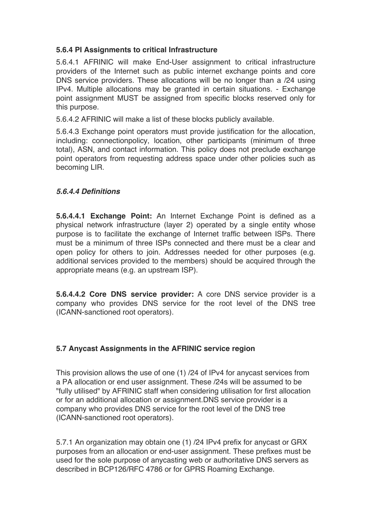# **5.6.4 PI Assignments to critical Infrastructure**

5.6.4.1 AFRINIC will make End-User assignment to critical infrastructure providers of the Internet such as public internet exchange points and core DNS service providers. These allocations will be no longer than a /24 using IPv4. Multiple allocations may be granted in certain situations. - Exchange point assignment MUST be assigned from specific blocks reserved only for this purpose.

5.6.4.2 AFRINIC will make a list of these blocks publicly available.

5.6.4.3 Exchange point operators must provide justification for the allocation, including: connectionpolicy, location, other participants (minimum of three total), ASN, and contact information. This policy does not preclude exchange point operators from requesting address space under other policies such as becoming LIR.

#### *5.6.4.4 Definitions*

**5.6.4.4.1 Exchange Point:** An Internet Exchange Point is defined as a physical network infrastructure (layer 2) operated by a single entity whose purpose is to facilitate the exchange of Internet traffic between ISPs. There must be a minimum of three ISPs connected and there must be a clear and open policy for others to join. Addresses needed for other purposes (e.g. additional services provided to the members) should be acquired through the appropriate means (e.g. an upstream ISP).

**5.6.4.4.2 Core DNS service provider:** A core DNS service provider is a company who provides DNS service for the root level of the DNS tree (ICANN-sanctioned root operators).

# **5.7 Anycast Assignments in the AFRINIC service region**

This provision allows the use of one (1) /24 of IPv4 for anycast services from a PA allocation or end user assignment. These /24s will be assumed to be "fully utilised" by AFRINIC staff when considering utilisation for first allocation or for an additional allocation or assignment.DNS service provider is a company who provides DNS service for the root level of the DNS tree (ICANN-sanctioned root operators).

5.7.1 An organization may obtain one (1) /24 IPv4 prefix for anycast or GRX purposes from an allocation or end-user assignment. These prefixes must be used for the sole purpose of anycasting web or authoritative DNS servers as described in BCP126/RFC 4786 or for GPRS Roaming Exchange.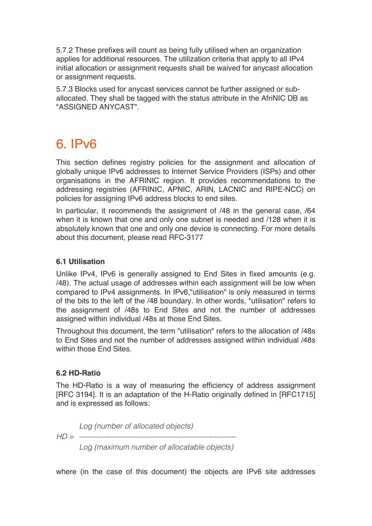5.7.2 These prefixes will count as being fully utilised when an organization applies for additional resources. The utilization criteria that apply to all IPv4 initial allocation or assignment requests shall be waived for anycast allocation or assignment requests.

5.7.3 Blocks used for anycast services cannot be further assigned or suballocated. They shall be tagged with the status attribute in the AfriNIC DB as "ASSIGNED ANYCAST".

# 6. IPv6

This section defines registry policies for the assignment and allocation of globally unique IPv6 addresses to Internet Service Providers (ISPs) and other organisations in the AFRINIC region. It provides recommendations to the addressing registries (AFRINIC, APNIC, ARIN, LACNIC and RIPE-NCC) on policies for assigning IPv6 address blocks to end sites.

In particular, it recommends the assignment of  $/48$  in the general case,  $/64$ when it is known that one and only one subnet is needed and /128 when it is absolutely known that one and only one device is connecting. For more details about this document, please read RFC-3177

# **6.1 Utilisation**

Unlike IPv4, IPv6 is generally assigned to End Sites in fixed amounts (e.g. /48). The actual usage of addresses within each assignment will be low when compared to IPv4 assignments. In IPv6,"utilisation" is only measured in terms of the bits to the left of the /48 boundary. In other words, "utilisation" refers to the assignment of /48s to End Sites and not the number of addresses assigned within individual /48s at those End Sites.

Throughout this document, the term "utilisation" refers to the allocation of /48s to End Sites and not the number of addresses assigned within individual /48s within those End Sites.

#### **6.2 HD-Ratio**

The HD-Ratio is a way of measuring the efficiency of address assignment [RFC 3194]. It is an adaptation of the H-Ratio originally defined in [RFC1715] and is expressed as follows:

*Log (number of allocated objects) HD = --------------------------------------------------------------- Log (maximum number of allocatable objects)*

where (in the case of this document) the objects are IPv6 site addresses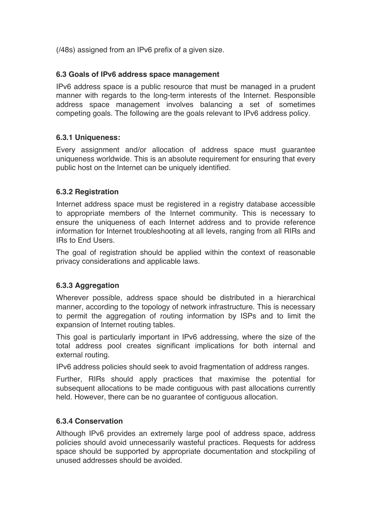(/48s) assigned from an IPv6 prefix of a given size.

#### **6.3 Goals of IPv6 address space management**

IPv6 address space is a public resource that must be managed in a prudent manner with regards to the long-term interests of the Internet. Responsible address space management involves balancing a set of sometimes competing goals. The following are the goals relevant to IPv6 address policy.

#### **6.3.1 Uniqueness:**

Every assignment and/or allocation of address space must guarantee uniqueness worldwide. This is an absolute requirement for ensuring that every public host on the Internet can be uniquely identified.

#### **6.3.2 Registration**

Internet address space must be registered in a registry database accessible to appropriate members of the Internet community. This is necessary to ensure the uniqueness of each Internet address and to provide reference information for Internet troubleshooting at all levels, ranging from all RIRs and IRs to End Users.

The goal of registration should be applied within the context of reasonable privacy considerations and applicable laws.

# **6.3.3 Aggregation**

Wherever possible, address space should be distributed in a hierarchical manner, according to the topology of network infrastructure. This is necessary to permit the aggregation of routing information by ISPs and to limit the expansion of Internet routing tables.

This goal is particularly important in IPv6 addressing, where the size of the total address pool creates significant implications for both internal and external routing.

IPv6 address policies should seek to avoid fragmentation of address ranges.

Further, RIRs should apply practices that maximise the potential for subsequent allocations to be made contiguous with past allocations currently held. However, there can be no guarantee of contiguous allocation.

#### **6.3.4 Conservation**

Although IPv6 provides an extremely large pool of address space, address policies should avoid unnecessarily wasteful practices. Requests for address space should be supported by appropriate documentation and stockpiling of unused addresses should be avoided.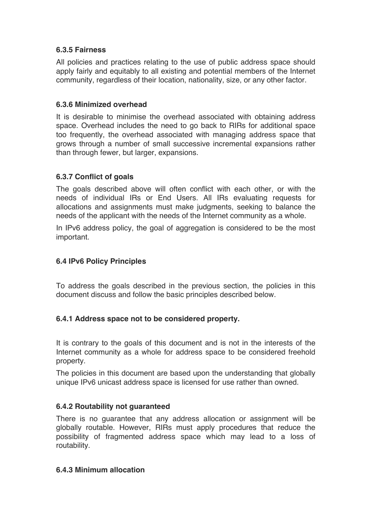# **6.3.5 Fairness**

All policies and practices relating to the use of public address space should apply fairly and equitably to all existing and potential members of the Internet community, regardless of their location, nationality, size, or any other factor.

# **6.3.6 Minimized overhead**

It is desirable to minimise the overhead associated with obtaining address space. Overhead includes the need to go back to RIRs for additional space too frequently, the overhead associated with managing address space that grows through a number of small successive incremental expansions rather than through fewer, but larger, expansions.

# **6.3.7 Conflict of goals**

The goals described above will often conflict with each other, or with the needs of individual IRs or End Users. All IRs evaluating requests for allocations and assignments must make judgments, seeking to balance the needs of the applicant with the needs of the Internet community as a whole.

In IPv6 address policy, the goal of aggregation is considered to be the most important.

#### **6.4 IPv6 Policy Principles**

To address the goals described in the previous section, the policies in this document discuss and follow the basic principles described below.

# **6.4.1 Address space not to be considered property.**

It is contrary to the goals of this document and is not in the interests of the Internet community as a whole for address space to be considered freehold property.

The policies in this document are based upon the understanding that globally unique IPv6 unicast address space is licensed for use rather than owned.

# **6.4.2 Routability not guaranteed**

There is no guarantee that any address allocation or assignment will be globally routable. However, RIRs must apply procedures that reduce the possibility of fragmented address space which may lead to a loss of routability.

#### **6.4.3 Minimum allocation**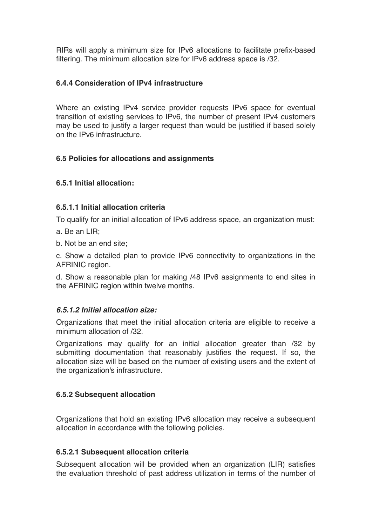RIRs will apply a minimum size for IPv6 allocations to facilitate prefix-based filtering. The minimum allocation size for IPv6 address space is /32.

#### **6.4.4 Consideration of IPv4 infrastructure**

Where an existing IPv4 service provider requests IPv6 space for eventual transition of existing services to IPv6, the number of present IPv4 customers may be used to justify a larger request than would be justified if based solely on the IPv6 infrastructure.

# **6.5 Policies for allocations and assignments**

# **6.5.1 Initial allocation:**

#### **6.5.1.1 Initial allocation criteria**

To qualify for an initial allocation of IPv6 address space, an organization must:

- a. Be an LIR;
- b. Not be an end site;

c. Show a detailed plan to provide IPv6 connectivity to organizations in the AFRINIC region.

d. Show a reasonable plan for making /48 IPv6 assignments to end sites in the AFRINIC region within twelve months.

# *6.5.1.2 Initial allocation size:*

Organizations that meet the initial allocation criteria are eligible to receive a minimum allocation of /32.

Organizations may qualify for an initial allocation greater than /32 by submitting documentation that reasonably justifies the request. If so, the allocation size will be based on the number of existing users and the extent of the organization's infrastructure.

# **6.5.2 Subsequent allocation**

Organizations that hold an existing IPv6 allocation may receive a subsequent allocation in accordance with the following policies.

#### **6.5.2.1 Subsequent allocation criteria**

Subsequent allocation will be provided when an organization (LIR) satisfies the evaluation threshold of past address utilization in terms of the number of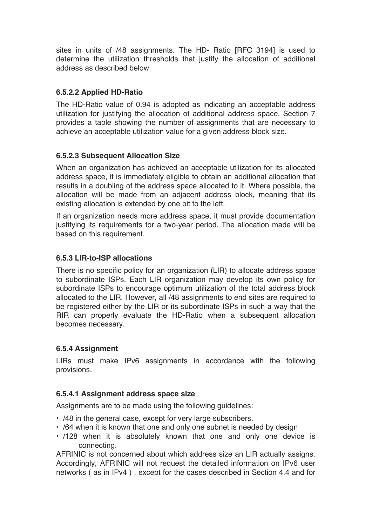sites in units of /48 assignments. The HD- Ratio [RFC 3194] is used to determine the utilization thresholds that justify the allocation of additional address as described below.

# **6.5.2.2 Applied HD-Ratio**

The HD-Ratio value of 0.94 is adopted as indicating an acceptable address utilization for justifying the allocation of additional address space. Section 7 provides a table showing the number of assignments that are necessary to achieve an acceptable utilization value for a given address block size.

# **6.5.2.3 Subsequent Allocation Size**

When an organization has achieved an acceptable utilization for its allocated address space, it is immediately eligible to obtain an additional allocation that results in a doubling of the address space allocated to it. Where possible, the allocation will be made from an adjacent address block, meaning that its existing allocation is extended by one bit to the left.

If an organization needs more address space, it must provide documentation justifying its requirements for a two-year period. The allocation made will be based on this requirement.

# **6.5.3 LIR-to-ISP allocations**

There is no specific policy for an organization (LIR) to allocate address space to subordinate ISPs. Each LIR organization may develop its own policy for subordinate ISPs to encourage optimum utilization of the total address block allocated to the LIR. However, all /48 assignments to end sites are required to be registered either by the LIR or its subordinate ISPs in such a way that the RIR can properly evaluate the HD-Ratio when a subsequent allocation becomes necessary.

# **6.5.4 Assignment**

LIRs must make IPv6 assignments in accordance with the following provisions.

# **6.5.4.1 Assignment address space size**

Assignments are to be made using the following guidelines:

- /48 in the general case, except for very large subscribers.
- /64 when it is known that one and only one subnet is needed by design
- /128 when it is absolutely known that one and only one device is connecting.

AFRINIC is not concerned about which address size an LIR actually assigns. Accordingly, AFRINIC will not request the detailed information on IPv6 user networks ( as in IPv4 ) , except for the cases described in Section 4.4 and for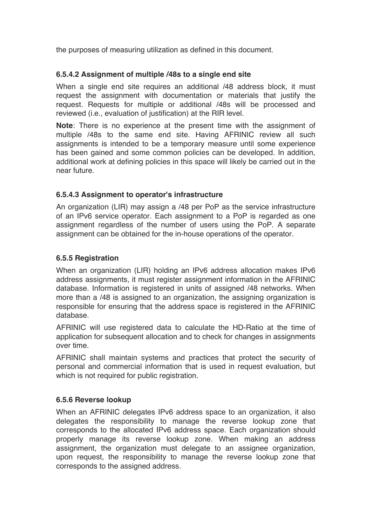the purposes of measuring utilization as defined in this document.

#### **6.5.4.2 Assignment of multiple /48s to a single end site**

When a single end site requires an additional /48 address block, it must request the assignment with documentation or materials that justify the request. Requests for multiple or additional /48s will be processed and reviewed (i.e., evaluation of justification) at the RIR level.

**Note**: There is no experience at the present time with the assignment of multiple /48s to the same end site. Having AFRINIC review all such assignments is intended to be a temporary measure until some experience has been gained and some common policies can be developed. In addition, additional work at defining policies in this space will likely be carried out in the near future.

# **6.5.4.3 Assignment to operator's infrastructure**

An organization (LIR) may assign a /48 per PoP as the service infrastructure of an IPv6 service operator. Each assignment to a PoP is regarded as one assignment regardless of the number of users using the PoP. A separate assignment can be obtained for the in-house operations of the operator.

#### **6.5.5 Registration**

When an organization (LIR) holding an IPv6 address allocation makes IPv6 address assignments, it must register assignment information in the AFRINIC database. Information is registered in units of assigned /48 networks. When more than a /48 is assigned to an organization, the assigning organization is responsible for ensuring that the address space is registered in the AFRINIC database.

AFRINIC will use registered data to calculate the HD-Ratio at the time of application for subsequent allocation and to check for changes in assignments over time.

AFRINIC shall maintain systems and practices that protect the security of personal and commercial information that is used in request evaluation, but which is not required for public registration.

#### **6.5.6 Reverse lookup**

When an AFRINIC delegates IPv6 address space to an organization, it also delegates the responsibility to manage the reverse lookup zone that corresponds to the allocated IPv6 address space. Each organization should properly manage its reverse lookup zone. When making an address assignment, the organization must delegate to an assignee organization, upon request, the responsibility to manage the reverse lookup zone that corresponds to the assigned address.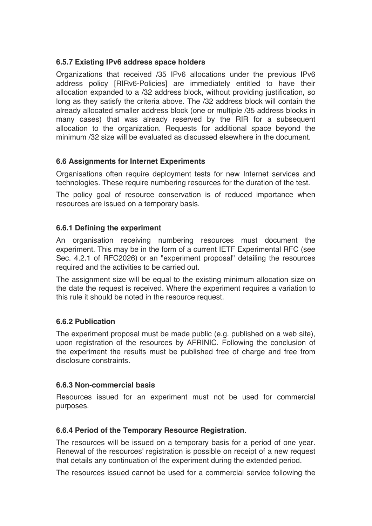# **6.5.7 Existing IPv6 address space holders**

Organizations that received /35 IPv6 allocations under the previous IPv6 address policy [RIRv6-Policies] are immediately entitled to have their allocation expanded to a /32 address block, without providing justification, so long as they satisfy the criteria above. The /32 address block will contain the already allocated smaller address block (one or multiple /35 address blocks in many cases) that was already reserved by the RIR for a subsequent allocation to the organization. Requests for additional space beyond the minimum /32 size will be evaluated as discussed elsewhere in the document.

# **6.6 Assignments for Internet Experiments**

Organisations often require deployment tests for new Internet services and technologies. These require numbering resources for the duration of the test.

The policy goal of resource conservation is of reduced importance when resources are issued on a temporary basis.

# **6.6.1 Defining the experiment**

An organisation receiving numbering resources must document the experiment. This may be in the form of a current IETF Experimental RFC (see Sec. 4.2.1 of RFC2026) or an "experiment proposal" detailing the resources required and the activities to be carried out.

The assignment size will be equal to the existing minimum allocation size on the date the request is received. Where the experiment requires a variation to this rule it should be noted in the resource request.

# **6.6.2 Publication**

The experiment proposal must be made public (e.g. published on a web site), upon registration of the resources by AFRINIC. Following the conclusion of the experiment the results must be published free of charge and free from disclosure constraints.

# **6.6.3 Non-commercial basis**

Resources issued for an experiment must not be used for commercial purposes.

# **6.6.4 Period of the Temporary Resource Registration**.

The resources will be issued on a temporary basis for a period of one year. Renewal of the resources' registration is possible on receipt of a new request that details any continuation of the experiment during the extended period.

The resources issued cannot be used for a commercial service following the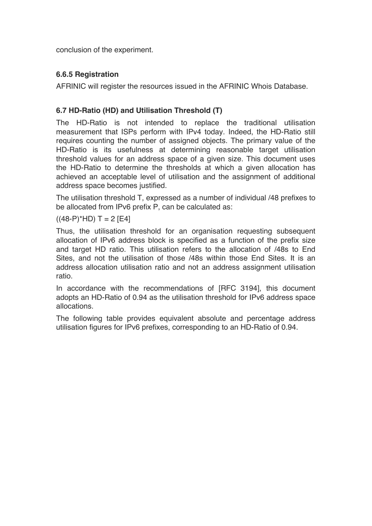conclusion of the experiment.

# **6.6.5 Registration**

AFRINIC will register the resources issued in the AFRINIC Whois Database.

# **6.7 HD-Ratio (HD) and Utilisation Threshold (T)**

The HD-Ratio is not intended to replace the traditional utilisation measurement that ISPs perform with IPv4 today. Indeed, the HD-Ratio still requires counting the number of assigned objects. The primary value of the HD-Ratio is its usefulness at determining reasonable target utilisation threshold values for an address space of a given size. This document uses the HD-Ratio to determine the thresholds at which a given allocation has achieved an acceptable level of utilisation and the assignment of additional address space becomes justified.

The utilisation threshold T, expressed as a number of individual /48 prefixes to be allocated from IPv6 prefix P, can be calculated as:

 $((48-P)^*HD) T = 2 [E4]$ 

Thus, the utilisation threshold for an organisation requesting subsequent allocation of IPv6 address block is specified as a function of the prefix size and target HD ratio. This utilisation refers to the allocation of /48s to End Sites, and not the utilisation of those /48s within those End Sites. It is an address allocation utilisation ratio and not an address assignment utilisation ratio.

In accordance with the recommendations of [RFC 3194], this document adopts an HD-Ratio of 0.94 as the utilisation threshold for IPv6 address space allocations.

The following table provides equivalent absolute and percentage address utilisation figures for IPv6 prefixes, corresponding to an HD-Ratio of 0.94.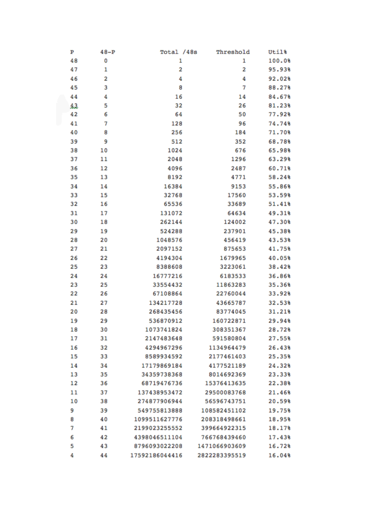| Ъ  | $48-P$ | Total /48s     | Threshold     | Util%  |
|----|--------|----------------|---------------|--------|
| 48 | 0      | 1              | 1             | 100.0% |
| 47 | 1      | 2              | 2             | 95.93% |
| 46 | 2      | 4              | 4             | 92.02% |
| 45 | 3      | 8              | 7             | 88.27% |
| 44 | 4      | 16             | 14            | 84.67% |
| 43 | 5      | 32             | 26            | 81.23% |
| 42 | 6      | 64             | 50            | 77.92% |
| 41 | 7      | 128            | 96            | 74.74% |
| 40 | 8      | 256            | 184           | 71.70% |
| 39 | 9      | 512            | 352           | 68.78% |
| 38 | 10     | 1024           | 676           | 65.98% |
| 37 | 11     | 2048           | 1296          | 63.29% |
| 36 | 12     | 4096           | 2487          | 60.71% |
| 35 | 13     | 8192           | 4771          | 58.24% |
| 34 | 14     | 16384          | 9153          | 55.86% |
| 33 | 15     | 32768          | 17560         | 53.59% |
| 32 | 16     | 65536          | 33689         | 51.41% |
| 31 | 17     | 131072         | 64634         | 49.31% |
| 30 | 18     | 262144         | 124002        | 47.30% |
| 29 | 19     | 524288         | 237901        | 45.38% |
| 28 | 20     | 1048576        | 456419        | 43.53% |
| 27 | 21     | 2097152        | 875653        | 41.75% |
| 26 | 22     | 4194304        | 1679965       | 40.05% |
| 25 | 23     | 8388608        | 3223061       | 38.42% |
| 24 | 24     | 16777216       | 6183533       | 36.86% |
| 23 | 25     | 33554432       | 11863283      | 35.36% |
| 22 | 26     | 67108864       | 22760044      | 33.92% |
| 21 | 27     | 134217728      | 43665787      | 32.53% |
| 20 | 28     | 268435456      | 83774045      | 31.21% |
| 19 | 29     | 536870912      | 160722871     | 29.94% |
| 18 | 30     | 1073741824     | 308351367     | 28.72% |
| 17 | 31     | 2147483648     | 591580804     | 27.55% |
| 16 | 32     | 4294967296     | 1134964479    | 26.43% |
| 15 | 33     | 8589934592     | 2177461403    | 25.35% |
| 14 | 34     | 17179869184    | 4177521189    | 24.32% |
| 13 | 35     | 34359738368    | 8014692369    | 23.33% |
| 12 | 36     | 68719476736    | 15376413635   | 22.38% |
| 11 | 37     | 137438953472   | 29500083768   | 21.46% |
| 10 | 38     | 274877906944   | 56596743751   | 20.59% |
| 9  | 39     | 549755813888   | 108582451102  | 19.75% |
| 8  | 40     | 1099511627776  | 208318498661  | 18.95% |
| 7  | 41     | 2199023255552  | 399664922315  | 18.17% |
| 6  | 42     | 4398046511104  | 766768439460  | 17.43% |
| 5  | 43     | 8796093022208  | 1471066903609 | 16.72% |
| 4  | 44     | 17592186044416 | 2822283395519 | 16.04% |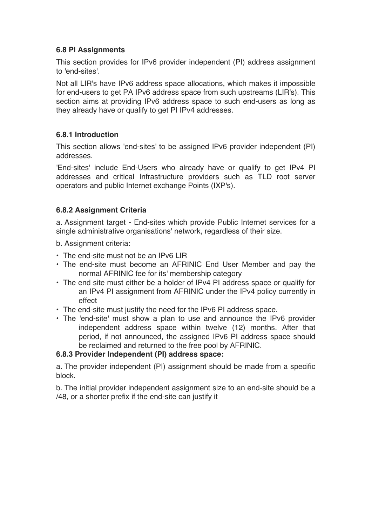# **6.8 PI Assignments**

This section provides for IPv6 provider independent (PI) address assignment to 'end-sites'.

Not all LIR's have IPv6 address space allocations, which makes it impossible for end-users to get PA IPv6 address space from such upstreams (LIR's). This section aims at providing IPv6 address space to such end-users as long as they already have or qualify to get PI IPv4 addresses.

#### **6.8.1 Introduction**

This section allows 'end-sites' to be assigned IPv6 provider independent (PI) addresses.

'End-sites' include End-Users who already have or qualify to get IPv4 PI addresses and critical Infrastructure providers such as TLD root server operators and public Internet exchange Points (IXP's).

#### **6.8.2 Assignment Criteria**

a. Assignment target - End-sites which provide Public Internet services for a single administrative organisations' network, regardless of their size.

b. Assignment criteria:

- The end-site must not be an IPv6 LIR
- The end-site must become an AFRINIC End User Member and pay the normal AFRINIC fee for its' membership category
- The end site must either be a holder of IPv4 PI address space or qualify for an IPv4 PI assignment from AFRINIC under the IPv4 policy currently in effect
- The end-site must justify the need for the IPv6 PI address space.
- The 'end-site' must show a plan to use and announce the IPv6 provider independent address space within twelve (12) months. After that period, if not announced, the assigned IPv6 PI address space should be reclaimed and returned to the free pool by AFRINIC.

#### **6.8.3 Provider Independent (PI) address space:**

a. The provider independent (PI) assignment should be made from a specific block.

b. The initial provider independent assignment size to an end-site should be a /48, or a shorter prefix if the end-site can justify it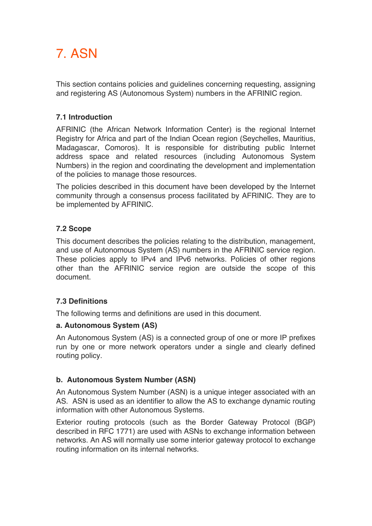# 7. ASN

This section contains policies and guidelines concerning requesting, assigning and registering AS (Autonomous System) numbers in the AFRINIC region.

# **7.1 Introduction**

AFRINIC (the African Network Information Center) is the regional Internet Registry for Africa and part of the Indian Ocean region (Seychelles, Mauritius, Madagascar, Comoros). It is responsible for distributing public Internet address space and related resources (including Autonomous System Numbers) in the region and coordinating the development and implementation of the policies to manage those resources.

The policies described in this document have been developed by the Internet community through a consensus process facilitated by AFRINIC. They are to be implemented by AFRINIC.

# **7.2 Scope**

This document describes the policies relating to the distribution, management, and use of Autonomous System (AS) numbers in the AFRINIC service region. These policies apply to IPv4 and IPv6 networks. Policies of other regions other than the AFRINIC service region are outside the scope of this document.

# **7.3 Definitions**

The following terms and definitions are used in this document.

# **a. Autonomous System (AS)**

An Autonomous System (AS) is a connected group of one or more IP prefixes run by one or more network operators under a single and clearly defined routing policy.

# **b. Autonomous System Number (ASN)**

An Autonomous System Number (ASN) is a unique integer associated with an AS. ASN is used as an identifier to allow the AS to exchange dynamic routing information with other Autonomous Systems.

Exterior routing protocols (such as the Border Gateway Protocol (BGP) described in RFC 1771) are used with ASNs to exchange information between networks. An AS will normally use some interior gateway protocol to exchange routing information on its internal networks.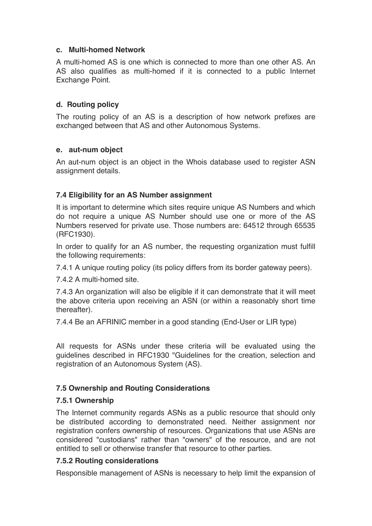#### **c. Multi-homed Network**

A multi-homed AS is one which is connected to more than one other AS. An AS also qualifies as multi-homed if it is connected to a public Internet Exchange Point.

#### **d. Routing policy**

The routing policy of an AS is a description of how network prefixes are exchanged between that AS and other Autonomous Systems.

#### **e. aut-num object**

An aut-num object is an object in the Whois database used to register ASN assignment details.

# **7.4 Eligibility for an AS Number assignment**

It is important to determine which sites require unique AS Numbers and which do not require a unique AS Number should use one or more of the AS Numbers reserved for private use. Those numbers are: 64512 through 65535 (RFC1930).

In order to qualify for an AS number, the requesting organization must fulfill the following requirements:

7.4.1 A unique routing policy (its policy differs from its border gateway peers).

7.4.2 A multi-homed site.

7.4.3 An organization will also be eligible if it can demonstrate that it will meet the above criteria upon receiving an ASN (or within a reasonably short time thereafter).

7.4.4 Be an AFRINIC member in a good standing (End-User or LIR type)

All requests for ASNs under these criteria will be evaluated using the guidelines described in RFC1930 "Guidelines for the creation, selection and registration of an Autonomous System (AS).

# **7.5 Ownership and Routing Considerations**

#### **7.5.1 Ownership**

The Internet community regards ASNs as a public resource that should only be distributed according to demonstrated need. Neither assignment nor registration confers ownership of resources. Organizations that use ASNs are considered "custodians" rather than "owners" of the resource, and are not entitled to sell or otherwise transfer that resource to other parties.

#### **7.5.2 Routing considerations**

Responsible management of ASNs is necessary to help limit the expansion of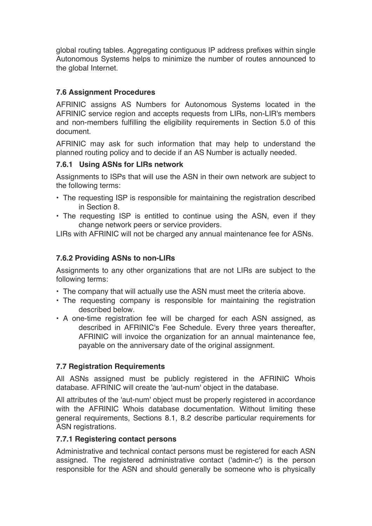global routing tables. Aggregating contiguous IP address prefixes within single Autonomous Systems helps to minimize the number of routes announced to the global Internet.

# **7.6 Assignment Procedures**

AFRINIC assigns AS Numbers for Autonomous Systems located in the AFRINIC service region and accepts requests from LIRs, non-LIR's members and non-members fulfilling the eligibility requirements in Section 5.0 of this document.

AFRINIC may ask for such information that may help to understand the planned routing policy and to decide if an AS Number is actually needed.

# **7.6.1 Using ASNs for LIRs network**

Assignments to ISPs that will use the ASN in their own network are subject to the following terms:

- The requesting ISP is responsible for maintaining the registration described in Section 8.
- The requesting ISP is entitled to continue using the ASN, even if they change network peers or service providers.

LIRs with AFRINIC will not be charged any annual maintenance fee for ASNs.

# **7.6.2 Providing ASNs to non-LIRs**

Assignments to any other organizations that are not LIRs are subject to the following terms:

- The company that will actually use the ASN must meet the criteria above.
- The requesting company is responsible for maintaining the registration described below.
- A one-time registration fee will be charged for each ASN assigned, as described in AFRINIC's Fee Schedule. Every three years thereafter, AFRINIC will invoice the organization for an annual maintenance fee, payable on the anniversary date of the original assignment.

# **7.7 Registration Requirements**

All ASNs assigned must be publicly registered in the AFRINIC Whois database. AFRINIC will create the 'aut-num' object in the database.

All attributes of the 'aut-num' object must be properly registered in accordance with the AFRINIC Whois database documentation. Without limiting these general requirements, Sections 8.1, 8.2 describe particular requirements for ASN registrations.

# **7.7.1 Registering contact persons**

Administrative and technical contact persons must be registered for each ASN assigned. The registered administrative contact ('admin-c') is the person responsible for the ASN and should generally be someone who is physically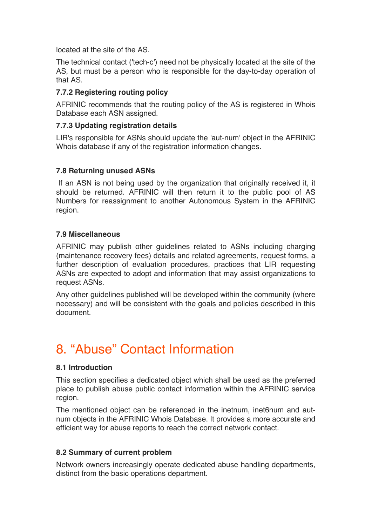located at the site of the AS.

The technical contact ('tech-c') need not be physically located at the site of the AS, but must be a person who is responsible for the day-to-day operation of that AS.

# **7.7.2 Registering routing policy**

AFRINIC recommends that the routing policy of the AS is registered in Whois Database each ASN assigned.

# **7.7.3 Updating registration details**

LIR's responsible for ASNs should update the 'aut-num' object in the AFRINIC Whois database if any of the registration information changes.

# **7.8 Returning unused ASNs**

If an ASN is not being used by the organization that originally received it, it should be returned. AFRINIC will then return it to the public pool of AS Numbers for reassignment to another Autonomous System in the AFRINIC region.

# **7.9 Miscellaneous**

AFRINIC may publish other guidelines related to ASNs including charging (maintenance recovery fees) details and related agreements, request forms, a further description of evaluation procedures, practices that LIR requesting ASNs are expected to adopt and information that may assist organizations to request ASNs.

Any other guidelines published will be developed within the community (where necessary) and will be consistent with the goals and policies described in this document.

# 8. "Abuse" Contact Information

# **8.1 Introduction**

This section specifies a dedicated object which shall be used as the preferred place to publish abuse public contact information within the AFRINIC service region.

The mentioned object can be referenced in the inetnum, inet6num and autnum objects in the AFRINIC Whois Database. It provides a more accurate and efficient way for abuse reports to reach the correct network contact.

# **8.2 Summary of current problem**

Network owners increasingly operate dedicated abuse handling departments, distinct from the basic operations department.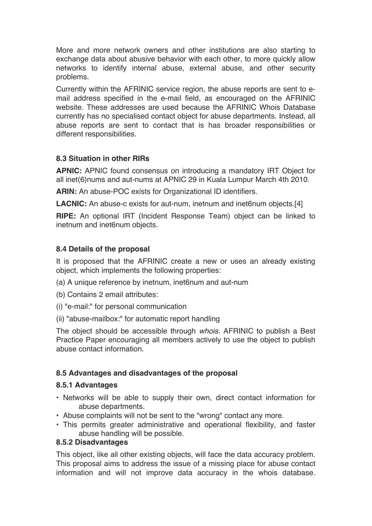More and more network owners and other institutions are also starting to exchange data about abusive behavior with each other, to more quickly allow networks to identify internal abuse, external abuse, and other security problems.

Currently within the AFRINIC service region, the abuse reports are sent to email address specified in the e-mail field, as encouraged on the AFRINIC website. These addresses are used because the AFRINIC Whois Database currently has no specialised contact object for abuse departments. Instead, all abuse reports are sent to contact that is has broader responsibilities or different responsibilities.

#### **8.3 Situation in other RIRs**

**APNIC:** APNIC found consensus on introducing a mandatory IRT Object for all inet(6)nums and aut-nums at APNIC 29 in Kuala Lumpur March 4th 2010.

**ARIN:** An abuse-POC exists for Organizational ID identifiers.

**LACNIC:** An abuse-c exists for aut-num, inetnum and inet6num objects.[4]

**RIPE:** An optional IRT (Incident Response Team) object can be linked to inetnum and inet6num objects.

# **8.4 Details of the proposal**

It is proposed that the AFRINIC create a new or uses an already existing object, which implements the following properties:

- (a) A unique reference by inetnum, inet6num and aut-num
- (b) Contains 2 email attributes:
- (i) "e-mail:" for personal communication
- (ii) "abuse-mailbox:" for automatic report handling

The object should be accessible through *whois*. AFRINIC to publish a Best Practice Paper encouraging all members actively to use the object to publish abuse contact information.

# **8.5 Advantages and disadvantages of the proposal**

#### **8.5.1 Advantages**

- Networks will be able to supply their own, direct contact information for abuse departments.
- Abuse complaints will not be sent to the "wrong" contact any more.
- This permits greater administrative and operational flexibility, and faster abuse handling will be possible.

#### **8.5.2 Disadvantages**

This object, like all other existing objects, will face the data accuracy problem. This proposal aims to address the issue of a missing place for abuse contact information and will not improve data accuracy in the whois database.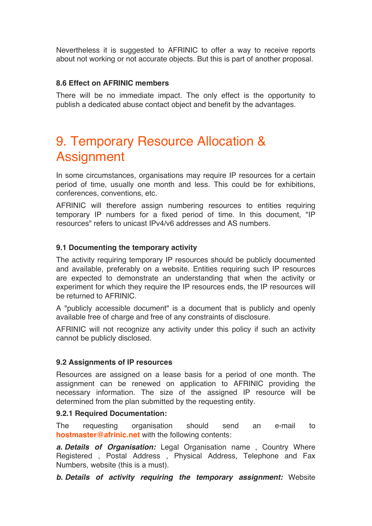Nevertheless it is suggested to AFRINIC to offer a way to receive reports about not working or not accurate objects. But this is part of another proposal.

#### **8.6 Effect on AFRINIC members**

There will be no immediate impact. The only effect is the opportunity to publish a dedicated abuse contact object and benefit by the advantages.

# 9. Temporary Resource Allocation & **Assignment**

In some circumstances, organisations may require IP resources for a certain period of time, usually one month and less. This could be for exhibitions, conferences, conventions, etc.

AFRINIC will therefore assign numbering resources to entities requiring temporary IP numbers for a fixed period of time. In this document, "IP resources" refers to unicast IPv4/v6 addresses and AS numbers.

#### **9.1 Documenting the temporary activity**

The activity requiring temporary IP resources should be publicly documented and available, preferably on a website. Entities requiring such IP resources are expected to demonstrate an understanding that when the activity or experiment for which they require the IP resources ends, the IP resources will be returned to AFRINIC.

A "publicly accessible document" is a document that is publicly and openly available free of charge and free of any constraints of disclosure.

AFRINIC will not recognize any activity under this policy if such an activity cannot be publicly disclosed.

#### **9.2 Assignments of IP resources**

Resources are assigned on a lease basis for a period of one month. The assignment can be renewed on application to AFRINIC providing the necessary information. The size of the assigned IP resource will be determined from the plan submitted by the requesting entity.

#### **9.2.1 Required Documentation:**

The requesting organisation should send an e-mail to **hostmaster@afrinic.net** with the following contents:

*a. Details of Organisation:* Legal Organisation name , Country Where Registered , Postal Address , Physical Address, Telephone and Fax Numbers, website (this is a must).

*b. Details of activity requiring the temporary assignment:* Website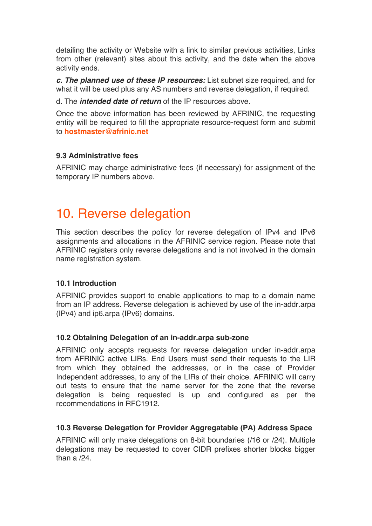detailing the activity or Website with a link to similar previous activities, Links from other (relevant) sites about this activity, and the date when the above activity ends.

*c. The planned use of these IP resources:* List subnet size required, and for what it will be used plus any AS numbers and reverse delegation, if required.

d. The *intended date of return* of the IP resources above.

Once the above information has been reviewed by AFRINIC, the requesting entity will be required to fill the appropriate resource-request form and submit to **hostmaster@afrinic.net**

#### **9.3 Administrative fees**

AFRINIC may charge administrative fees (if necessary) for assignment of the temporary IP numbers above.

# 10. Reverse delegation

This section describes the policy for reverse delegation of IPv4 and IPv6 assignments and allocations in the AFRINIC service region. Please note that AFRINIC registers only reverse delegations and is not involved in the domain name registration system.

#### **10.1 Introduction**

AFRINIC provides support to enable applications to map to a domain name from an IP address. Reverse delegation is achieved by use of the in-addr.arpa (IPv4) and ip6.arpa (IPv6) domains.

#### **10.2 Obtaining Delegation of an in-addr.arpa sub-zone**

AFRINIC only accepts requests for reverse delegation under in-addr.arpa from AFRINIC active LIRs. End Users must send their requests to the LIR from which they obtained the addresses, or in the case of Provider Independent addresses, to any of the LIRs of their choice. AFRINIC will carry out tests to ensure that the name server for the zone that the reverse delegation is being requested is up and configured as per the recommendations in RFC1912.

#### **10.3 Reverse Delegation for Provider Aggregatable (PA) Address Space**

AFRINIC will only make delegations on 8-bit boundaries (/16 or /24). Multiple delegations may be requested to cover CIDR prefixes shorter blocks bigger than a /24.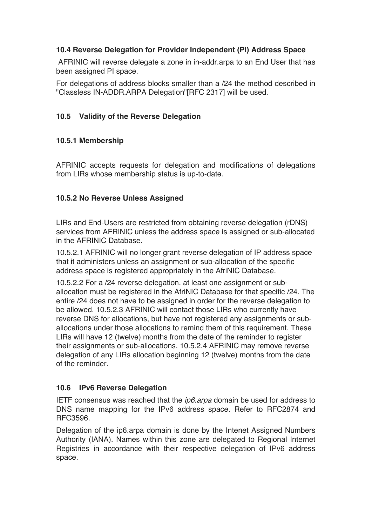# **10.4 Reverse Delegation for Provider Independent (PI) Address Space**

AFRINIC will reverse delegate a zone in in-addr.arpa to an End User that has been assigned PI space.

For delegations of address blocks smaller than a /24 the method described in "Classless IN-ADDR.ARPA Delegation"[RFC 2317] will be used.

# **10.5 Validity of the Reverse Delegation**

# **10.5.1 Membership**

AFRINIC accepts requests for delegation and modifications of delegations from LIRs whose membership status is up-to-date.

# **10.5.2 No Reverse Unless Assigned**

LIRs and End-Users are restricted from obtaining reverse delegation (rDNS) services from AFRINIC unless the address space is assigned or sub-allocated in the AFRINIC Database.

10.5.2.1 AFRINIC will no longer grant reverse delegation of IP address space that it administers unless an assignment or sub-allocation of the specific address space is registered appropriately in the AfriNIC Database.

10.5.2.2 For a /24 reverse delegation, at least one assignment or suballocation must be registered in the AfriNIC Database for that specific /24. The entire /24 does not have to be assigned in order for the reverse delegation to be allowed. 10.5.2.3 AFRINIC will contact those LIRs who currently have reverse DNS for allocations, but have not registered any assignments or suballocations under those allocations to remind them of this requirement. These LIRs will have 12 (twelve) months from the date of the reminder to register their assignments or sub-allocations. 10.5.2.4 AFRINIC may remove reverse delegation of any LIRs allocation beginning 12 (twelve) months from the date of the reminder.

# **10.6 IPv6 Reverse Delegation**

IETF consensus was reached that the *ip6.arpa* domain be used for address to DNS name mapping for the IPv6 address space. Refer to RFC2874 and RFC3596.

Delegation of the ip6.arpa domain is done by the Intenet Assigned Numbers Authority (IANA). Names within this zone are delegated to Regional Internet Registries in accordance with their respective delegation of IPv6 address space.